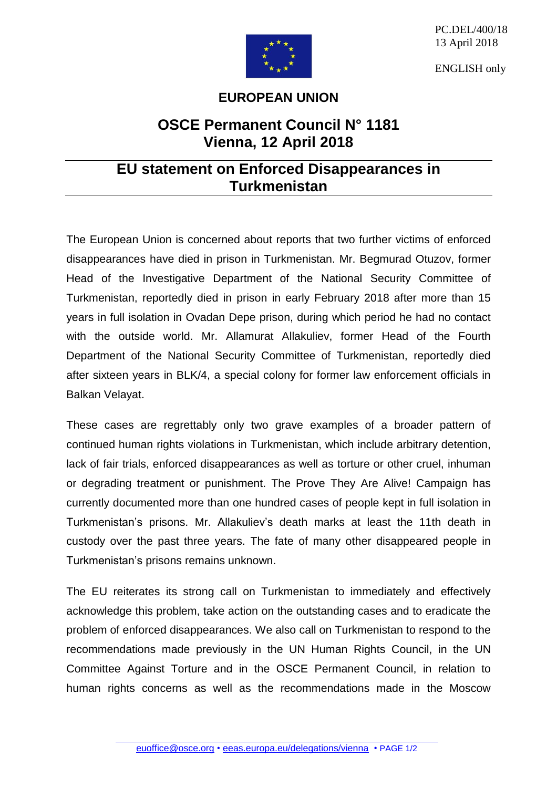

PC.DEL/400/18 13 April 2018

ENGLISH only

## **EUROPEAN UNION**

## **OSCE Permanent Council N° 1181 Vienna, 12 April 2018**

## **EU statement on Enforced Disappearances in Turkmenistan**

The European Union is concerned about reports that two further victims of enforced disappearances have died in prison in Turkmenistan. Mr. Begmurad Otuzov, former Head of the Investigative Department of the National Security Committee of Turkmenistan, reportedly died in prison in early February 2018 after more than 15 years in full isolation in Ovadan Depe prison, during which period he had no contact with the outside world. Mr. Allamurat Allakuliev, former Head of the Fourth Department of the National Security Committee of Turkmenistan, reportedly died after sixteen years in BLK/4, a special colony for former law enforcement officials in Balkan Velayat.

These cases are regrettably only two grave examples of a broader pattern of continued human rights violations in Turkmenistan, which include arbitrary detention, lack of fair trials, enforced disappearances as well as torture or other cruel, inhuman or degrading treatment or punishment. The Prove They Are Alive! Campaign has currently documented more than one hundred cases of people kept in full isolation in Turkmenistan's prisons. Mr. Allakuliev's death marks at least the 11th death in custody over the past three years. The fate of many other disappeared people in Turkmenistan's prisons remains unknown.

The EU reiterates its strong call on Turkmenistan to immediately and effectively acknowledge this problem, take action on the outstanding cases and to eradicate the problem of enforced disappearances. We also call on Turkmenistan to respond to the recommendations made previously in the UN Human Rights Council, in the UN Committee Against Torture and in the OSCE Permanent Council, in relation to human rights concerns as well as the recommendations made in the Moscow